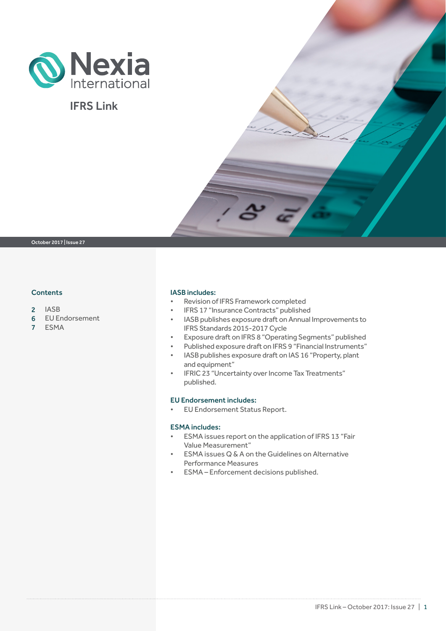

## IFRS Link

#### **Contents**

- 2 IASB
- 6 EU Endorsement
- 7 ESMA

#### IASB includes:

- Revision of IFRS Framework completed
- IFRS 17 "Insurance Contracts" published
- IASB publishes exposure draft on Annual Improvements to IFRS Standards 2015-2017 Cycle
- Exposure draft on IFRS 8 "Operating Segments" published
- Published exposure draft on IFRS 9 "Financial Instruments"
- IASB publishes exposure draft on IAS 16 "Property, plant and equipment"
- IFRIC 23 "Uncertainty over Income Tax Treatments" published.

#### EU Endorsement includes:

• EU Endorsement Status Report.

#### ESMA includes:

- ESMA issues report on the application of IFRS 13 "Fair Value Measurement"
- ESMA issues Q & A on the Guidelines on Alternative Performance Measures
- ESMA Enforcement decisions published.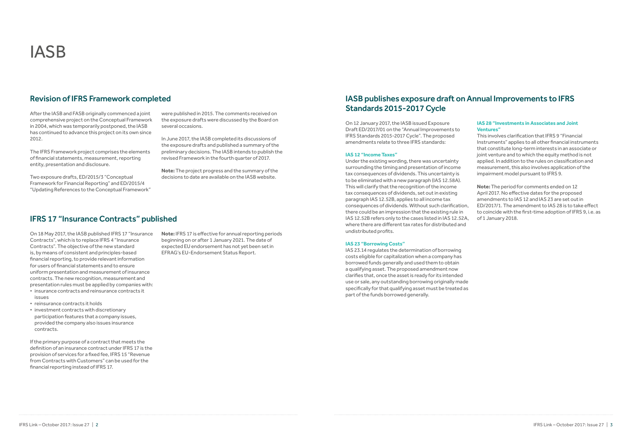After the IASB and FASB originally commenced a joint comprehensive project on the Conceptual Framework in 2004, which was temporarily postponed, the IASB has continued to advance this project on its own since 2012.

The IFRS Framework project comprises the elements of financial statements, measurement, reporting entity, presentation and disclosure.

Two exposure drafts, ED/2015/3 "Conceptual Framework for Financial Reporting" and ED/2015/4 "Updating References to the Conceptual Framework"

were published in 2015. The comments received on the exposure drafts were discussed by the Board on several occasions.

In June 2017, the IASB completed its discussions of the exposure drafts and published a summary of the preliminary decisions. The IASB intends to publish the revised Framework in the fourth quarter of 2017.

**Note:** The project progress and the summary of the decisions to date are available on the IASB website.

# IASB

### Revision of IFRS Framework completed

#### IFRS 17 "Insurance Contracts" published

On 18 May 2017, the IASB published IFRS 17 "Insurance Contracts", which is to replace IFRS 4 "Insurance Contracts". The objective of the new standard is, by means of consistent and principles-based financial reporting, to provide relevant information for users of financial statements and to ensure uniform presentation and measurement of insurance contracts. The new recognition, measurement and presentation rules must be applied by companies with:

- insurance contracts and reinsurance contracts it issues
- reinsurance contracts it holds
- investment contracts with discretionary participation features that a company issues, provided the company also issues insurance contracts.

If the primary purpose of a contract that meets the definition of an insurance contract under IFRS 17 is the provision of services for a fixed fee, IFRS 15 "Revenue from Contracts with Customers" can be used for the financial reporting instead of IFRS 17.

**Note:** IFRS 17 is effective for annual reporting periods beginning on or after 1 January 2021. The date of expected EU endorsement has not yet been set in EFRAG's EU-Endorsement Status Report.

## IASB publishes exposure draft on Annual Improvements to IFRS Standards 2015-2017 Cycle

On 12 January 2017, the IASB issued Exposure Draft ED/2017/01 on the "Annual Improvements to IFRS Standards 2015-2017 Cycle". The proposed amendments relate to three IFRS standards:

#### **IAS 12 "Income Taxes"**

Under the existing wording, there was uncertainty surrounding the timing and presentation of income tax consequences of dividends. This uncertainty is to be eliminated with a new paragraph (IAS 12.58A). This will clarify that the recognition of the income tax consequences of dividends, set out in existing paragraph IAS 12.52B, applies to all income tax consequences of dividends. Without such clarification, there could be an impression that the existing rule in IAS 12.52B refers only to the cases listed in IAS 12.52A, where there are different tax rates for distributed and undistributed profits.

#### **IAS 23 "Borrowing Costs"**

IAS 23.14 regulates the determination of borrowing costs eligible for capitalization when a company has borrowed funds generally and used them to obtain a qualifying asset. The proposed amendment now clarifies that, once the asset is ready for its intended use or sale, any outstanding borrowing originally made specifically for that qualifying asset must be treated as part of the funds borrowed generally.

#### **IAS 28 "Investments in Associates and Joint Ventures"**

This involves clarification that IFRS 9 "Financial Instruments" applies to all other financial instruments that constitute long-term interests in an associate or joint venture and to which the equity method is not applied. In addition to the rules on classification and measurement, this also involves application of the impairment model pursuant to IFRS 9.

**Note:** The period for comments ended on 12 April 2017. No effective dates for the proposed amendments to IAS 12 and IAS 23 are set out in ED/2017/1. The amendment to IAS 28 is to take effect to coincide with the first-time adoption of IFRS 9, i.e. as of 1 January 2018.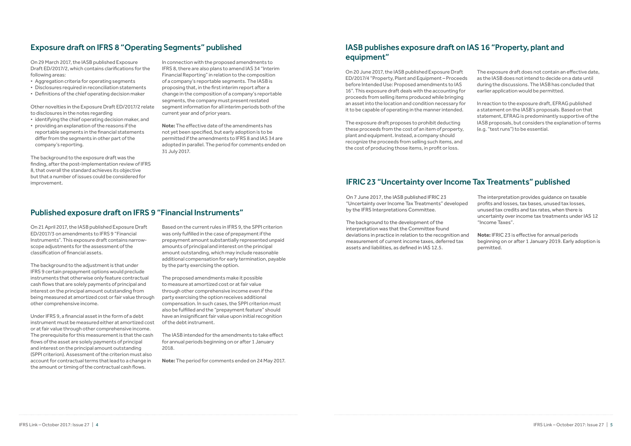## IFRIC 23 "Uncertainty over Income Tax Treatments" published

On 7 June 2017, the IASB published IFRIC 23 "Uncertainty over Income Tax Treatments" developed by the IFRS Interpretations Committee.

The background to the development of the interpretation was that the Committee found deviations in practice in relation to the recognition and measurement of current income taxes, deferred tax assets and liabilities, as defined in IAS 12.5. "Income Taxes". **Note:** IFRIC 23 is effective for annual periods beginning on or after 1 January 2019. Early adoption is permitted.

The interpretation provides guidance on taxable profits and losses, tax bases, unused tax losses, unused tax credits and tax rates, when there is uncertainty over income tax treatments under IAS 12

#### Published exposure draft on IFRS 9 "Financial Instruments"

On 21 April 2017, the IASB published Exposure Draft ED/2017/3 on amendments to IFRS 9 "Financial Instruments". This exposure draft contains narrowscope adjustments for the assessment of the classification of financial assets.

The background to the adjustment is that under IFRS 9 certain prepayment options would preclude instruments that otherwise only feature contractual cash flows that are solely payments of principal and interest on the principal amount outstanding from being measured at amortized cost or fair value through other comprehensive income.

Under IFRS 9, a financial asset in the form of a debt instrument must be measured either at amortized cost or at fair value through other comprehensive income. The prerequisite for this measurement is that the cash flows of the asset are solely payments of principal and interest on the principal amount outstanding (SPPI criterion). Assessment of the criterion must also account for contractual terms that lead to a change in the amount or timing of the contractual cash flows.

Based on the current rules in IFRS 9, the SPPI criterion was only fulfilled in the case of prepayment if the prepayment amount substantially represented unpaid amounts of principal and interest on the principal amount outstanding, which may include reasonable additional compensation for early termination, payable by the party exercising the option.

The proposed amendments make it possible to measure at amortized cost or at fair value through other comprehensive income even if the party exercising the option receives additional compensation. In such cases, the SPPI criterion must also be fulfilled and the "prepayment feature" should have an insignificant fair value upon initial recognition of the debt instrument.

The IASB intended for the amendments to take effect for annual periods beginning on or after 1 January 2018.

**Note:** The period for comments ended on 24 May 2017.

On 20 June 2017, the IASB published Exposure Draft ED/2017/4 "Property, Plant and Equipment – Proceeds before Intended Use: Proposed amendments to IAS 16". This exposure draft deals with the accounting for proceeds from selling items produced while bringing an asset into the location and condition necessary for it to be capable of operating in the manner intended.

The exposure draft proposes to prohibit deducting these proceeds from the cost of an item of property, plant and equipment. Instead, a company should recognize the proceeds from selling such items, and the cost of producing those items, in profit or loss.

The exposure draft does not contain an effective date, as the IASB does not intend to decide on a date until during the discussions. The IASB has concluded that earlier application would be permitted.

In reaction to the exposure draft, EFRAG published a statement on the IASB's proposals. Based on that statement, EFRAG is predominantly supportive of the IASB proposals, but considers the explanation of terms (e.g. "test runs") to be essential.

## IASB publishes exposure draft on IAS 16 "Property, plant and equipment"

## Exposure draft on IFRS 8 "Operating Segments" published

On 29 March 2017, the IASB published Exposure Draft ED/2017/2, which contains clarifications for the following areas:

- Aggregation criteria for operating segments
- Disclosures required in reconciliation statements
- Definitions of the chief operating decision maker

Other novelties in the Exposure Draft ED/2017/2 relate to disclosures in the notes regarding

- identifying the chief operating decision maker, and
- providing an explanation of the reasons if the reportable segments in the financial statements differ from the segments in other part of the company's reporting.

The background to the exposure draft was the finding, after the post-implementation review of IFRS 8, that overall the standard achieves its objective but that a number of issues could be considered for improvement.

In connection with the proposed amendments to IFRS 8, there are also plans to amend IAS 34 "Interim Financial Reporting" in relation to the composition of a company's reportable segments. The IASB is proposing that, in the first interim report after a change in the composition of a company's reportable segments, the company must present restated segment information for all interim periods both of the current year and of prior years.

**Note:** The effective date of the amendments has not yet been specified, but early adoption is to be permitted if the amendments to IFRS 8 and IAS 34 are adopted in parallel. The period for comments ended on 31 July 2017.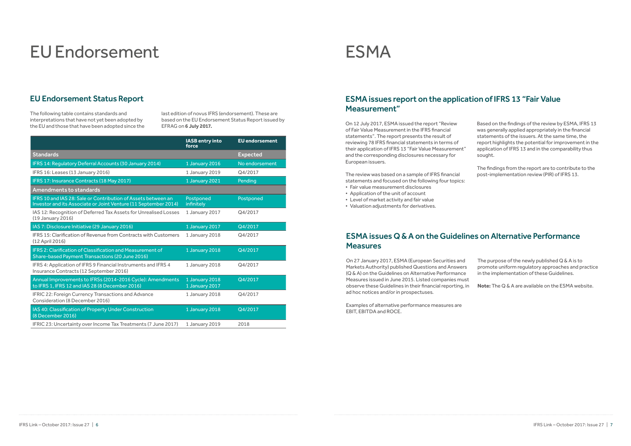The following table contains standards and interpretations that have not yet been adopted by the EU and those that have been adopted since the last edition of novus IFRS (endorsement). These are based on the EU Endorsement Status Report issued by EFRAG on **6 July 2017.**

# EU Endorsement

#### EU Endorsement Status Report

|                                                                                                                                  | <b>IASB entry into</b><br>force  | <b>EU</b> endorsement |
|----------------------------------------------------------------------------------------------------------------------------------|----------------------------------|-----------------------|
| <b>Standards</b>                                                                                                                 |                                  | <b>Expected</b>       |
| IFRS 14: Regulatory Deferral Accounts (30 January 2014)                                                                          | 1 January 2016                   | No endorsement        |
| IFRS 16: Leases (13 January 2016)                                                                                                | 1 January 2019                   | Q4/2017               |
| IFRS 17: Insurance Contracts (18 May 2017)                                                                                       | 1 January 2021                   | Pending               |
| <b>Amendments to standards</b>                                                                                                   |                                  |                       |
| IFRS 10 and IAS 28: Sale or Contribution of Assets between an<br>Investor and its Associate or Joint Venture (11 September 2014) | Postponed<br>infinitely          | Postponed             |
| IAS 12: Recognition of Deferred Tax Assets for Unrealised Losses<br>(19 January 2016)                                            | 1 January 2017                   | Q4/2017               |
| IAS 7: Disclosure Initiative (29 January 2016)                                                                                   | 1 January 2017                   | Q4/2017               |
| IFRS 15: Clarification of Revenue from Contracts with Customers<br>(12 April 2016)                                               | 1 January 2018                   | Q4/2017               |
| IFRS 2: Clarification of Classification and Measurement of<br>Share-based Payment Transactions (20 June 2016)                    | 1 January 2018                   | Q4/2017               |
| IFRS 4: Application of IFRS 9 Financial Instruments and IFRS 4<br>Insurance Contracts (12 September 2016)                        | 1 January 2018                   | Q4/2017               |
| Annual Improvements to IFRSs (2014-2016 Cycle): Amendments<br>to IFRS 1, IFRS 12 and IAS 28 (8 December 2016)                    | 1 January 2018<br>1 January 2017 | Q4/2017               |
| IFRIC 22: Foreign Currency Transactions and Advance<br>Consideration (8 December 2016)                                           | 1 January 2018                   | Q4/2017               |
| IAS 40: Classification of Property Under Construction<br>(8 December 2016)                                                       | 1 January 2018                   | Q4/2017               |
| IFRIC 23: Uncertainty over Income Tax Treatments (7 June 2017)                                                                   | 1 January 2019                   | 2018                  |

## ESMA issues Q & A on the Guidelines on Alternative Performance **Measures**

The purpose of the newly published  $Q < A$  is to promote uniform regulatory approaches and practice in the implementation of these Guidelines.

## ESMA

## ESMA issues report on the application of IFRS 13 "Fair Value Measurement"

On 12 July 2017, ESMA issued the report "Review of Fair Value Measurement in the IFRS financial statements". The report presents the result of reviewing 78 IFRS financial statements in terms of their application of IFRS 13 "Fair Value Measurement" and the corresponding disclosures necessary for European issuers.

The review was based on a sample of IFRS financial statements and focused on the following four topics:

- Fair value measurement disclosures
- Application of the unit of account
- Level of market activity and fair value
- Valuation adjustments for derivatives.

Based on the findings of the review by ESMA, IFRS 13 was generally applied appropriately in the financial statements of the issuers. At the same time, the report highlights the potential for improvement in the application of IFRS 13 and in the comparability thus sought.

The findings from the report are to contribute to the post-implementation review (PIR) of IFRS 13.

On 27 January 2017, ESMA (European Securities and Markets Authority) published Questions and Answers (Q & A) on the Guidelines on Alternative Performance Measures issued in June 2015. Listed companies must observe these Guidelines in their financial reporting, in ad hoc notices and/or in prospectuses.

Examples of alternative performance measures are EBIT, EBITDA and ROCE.

**Note:** The Q & A are available on the ESMA website.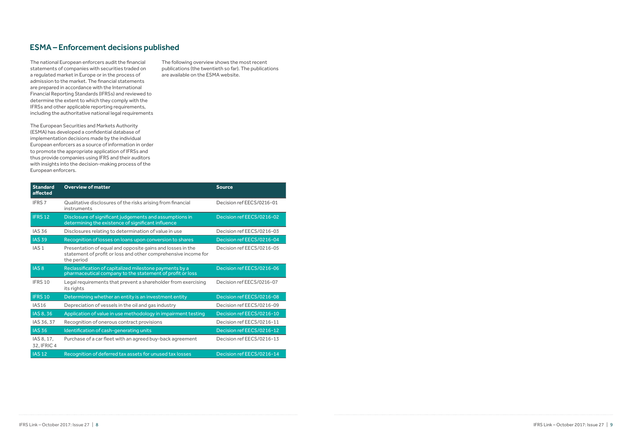| <b>Standard</b><br>affected | <b>Overview of matter</b>                                                                                                                  | <b>Source</b>             |
|-----------------------------|--------------------------------------------------------------------------------------------------------------------------------------------|---------------------------|
| <b>IFRS7</b>                | Qualitative disclosures of the risks arising from financial<br>instruments                                                                 | Decision ref EECS/0216-01 |
| <b>IFRS 12</b>              | Disclosure of significant judgements and assumptions in<br>determining the existence of significant influence                              | Decision ref EECS/0216-02 |
| <b>IAS 36</b>               | Disclosures relating to determination of value in use                                                                                      | Decision ref EECS/0216-03 |
| <b>IAS 39</b>               | Recognition of losses on loans upon conversion to shares                                                                                   | Decision ref EECS/0216-04 |
| IAS <sub>1</sub>            | Presentation of equal and opposite gains and losses in the<br>statement of profit or loss and other comprehensive income for<br>the period | Decision ref EECS/0216-05 |
| IAS <sub>8</sub>            | Reclassification of capitalized milestone payments by a<br>pharmaceutical company to the statement of profit or loss                       | Decision ref EECS/0216-06 |
| IFRS 10                     | Legal requirements that prevent a shareholder from exercising<br>its rights                                                                | Decision ref EECS/0216-07 |
| <b>IFRS 10</b>              | Determining whether an entity is an investment entity                                                                                      | Decision ref EECS/0216-08 |
| <b>IAS16</b>                | Depreciation of vessels in the oil and gas industry                                                                                        | Decision ref EECS/0216-09 |
| IAS 8, 36                   | Application of value in use methodology in impairment testing                                                                              | Decision ref EECS/0216-10 |
| IAS 36, 37                  | Recognition of onerous contract provisions                                                                                                 | Decision ref EECS/0216-11 |
| <b>IAS 36</b>               | Identification of cash-generating units                                                                                                    | Decision ref EECS/0216-12 |
| IAS 8, 17,<br>32. IFRIC 4   | Purchase of a car fleet with an agreed buy-back agreement                                                                                  | Decision ref EECS/0216-13 |
| <b>IAS 12</b>               | Recognition of deferred tax assets for unused tax losses                                                                                   | Decision ref EECS/0216-14 |

## ESMA – Enforcement decisions published

The national European enforcers audit the financial statements of companies with securities traded on a regulated market in Europe or in the process of admission to the market. The financial statements are prepared in accordance with the International Financial Reporting Standards (IFRSs) and reviewed to determine the extent to which they comply with the IFRSs and other applicable reporting requirements, including the authoritative national legal requirements

The European Securities and Markets Authority (ESMA) has developed a confidential database of implementation decisions made by the individual European enforcers as a source of information in order to promote the appropriate application of IFRSs and thus provide companies using IFRS and their auditors with insights into the decision-making process of the European enforcers.

The following overview shows the most recent publications (the twentieth so far). The publications are available on the ESMA website.